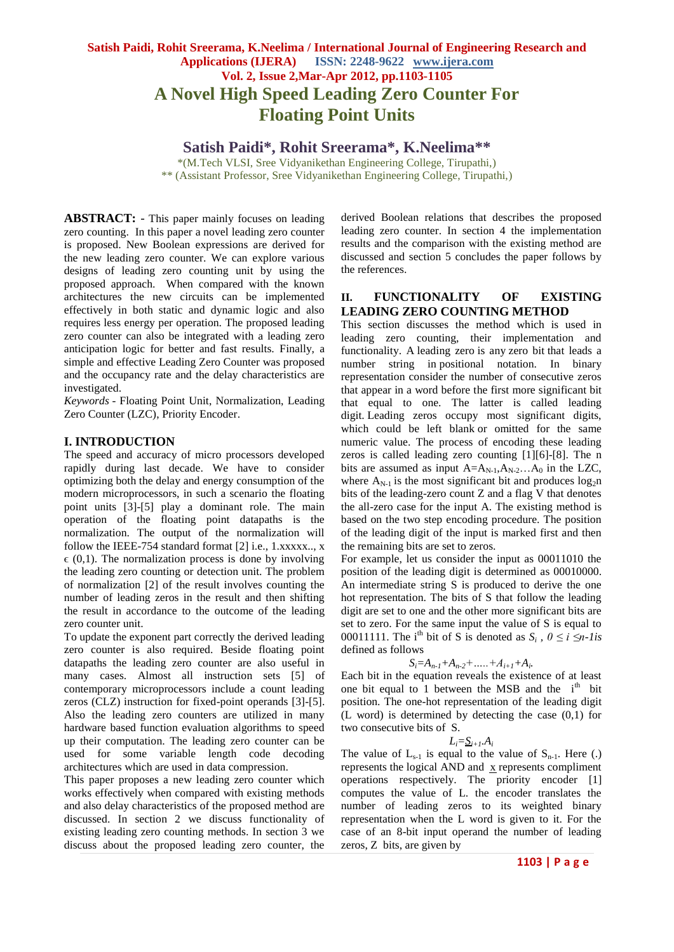# **Satish Paidi, Rohit Sreerama, K.Neelima / International Journal of Engineering Research and Applications (IJERA) ISSN: 2248-9622 www.ijera.com Vol. 2, Issue 2,Mar-Apr 2012, pp.1103-1105 A Novel High Speed Leading Zero Counter For Floating Point Units**

**Satish Paidi\*, Rohit Sreerama\*, K.Neelima\*\***

\*(M.Tech VLSI, Sree Vidyanikethan Engineering College, Tirupathi,) \*\* (Assistant Professor, Sree Vidyanikethan Engineering College, Tirupathi,)

**ABSTRACT:** - This paper mainly focuses on leading zero counting. In this paper a novel leading zero counter is proposed. New Boolean expressions are derived for the new leading zero counter. We can explore various designs of leading zero counting unit by using the proposed approach. When compared with the known architectures the new circuits can be implemented effectively in both static and dynamic logic and also requires less energy per operation. The proposed leading zero counter can also be integrated with a leading zero anticipation logic for better and fast results. Finally, a simple and effective Leading Zero Counter was proposed and the occupancy rate and the delay characteristics are investigated.

*Keywords* - Floating Point Unit, Normalization, Leading Zero Counter (LZC), Priority Encoder.

## **I. INTRODUCTION**

The speed and accuracy of micro processors developed rapidly during last decade. We have to consider optimizing both the delay and energy consumption of the modern microprocessors, in such a scenario the floating point units [3]-[5] play a dominant role. The main operation of the floating point datapaths is the normalization. The output of the normalization will follow the IEEE-754 standard format [2] i.e., 1.xxxxx.., x  $\epsilon$  (0,1). The normalization process is done by involving the leading zero counting or detection unit. The problem of normalization [2] of the result involves counting the number of leading zeros in the result and then shifting the result in accordance to the outcome of the leading zero counter unit.

To update the exponent part correctly the derived leading zero counter is also required. Beside floating point datapaths the leading zero counter are also useful in many cases. Almost all instruction sets [5] of contemporary microprocessors include a count leading zeros (CLZ) instruction for fixed-point operands [3]-[5]. Also the leading zero counters are utilized in many hardware based function evaluation algorithms to speed up their computation. The leading zero counter can be used for some variable length code decoding architectures which are used in data compression.

This paper proposes a new leading zero counter which works effectively when compared with existing methods and also delay characteristics of the proposed method are discussed. In section 2 we discuss functionality of existing leading zero counting methods. In section 3 we discuss about the proposed leading zero counter, the

derived Boolean relations that describes the proposed leading zero counter. In section 4 the implementation results and the comparison with the existing method are discussed and section 5 concludes the paper follows by the references.

### **II. FUNCTIONALITY OF EXISTING LEADING ZERO COUNTING METHOD**

This section discusses the method which is used in leading zero counting, their implementation and functionality. A leading zero is any zero bit that leads a number string in positional notation. In binary representation consider the number of consecutive zeros that appear in a word before the first more significant bit that equal to one. The latter is called leading digit. Leading zeros occupy most significant digits, which could be left blank or omitted for the same numeric value. The process of encoding these leading zeros is called leading zero counting [1][6]-[8]. The n bits are assumed as input  $A=A_{N-1},A_{N-2}...A_0$  in the LZC, where  $A_{N-1}$  is the most significant bit and produces  $log_2 n$ bits of the leading-zero count Z and a flag V that denotes the all-zero case for the input A. The existing method is based on the two step encoding procedure. The position of the leading digit of the input is marked first and then the remaining bits are set to zeros.

For example, let us consider the input as 00011010 the position of the leading digit is determined as 00010000. An intermediate string S is produced to derive the one hot representation. The bits of S that follow the leading digit are set to one and the other more significant bits are set to zero. For the same input the value of S is equal to 00011111. The i<sup>th</sup> bit of S is denoted as  $S_i$ ,  $0 \le i \le n$ -lis defined as follows

$$
S_i = A_{n-1} + A_{n-2} + \dots + A_{i+1} + A_i.
$$

Each bit in the equation reveals the existence of at least one bit equal to 1 between the MSB and the  $i<sup>th</sup>$  bit position. The one-hot representation of the leading digit (L word) is determined by detecting the case (0,1) for two consecutive bits of S.

$$
L_i = \underline{S}_{i+1}.A_i
$$

The value of  $L_{s-1}$  is equal to the value of  $S_{n-1}$ . Here (.) represents the logical AND and x represents compliment operations respectively. The priority encoder [1] computes the value of L. the encoder translates the number of leading zeros to its weighted binary representation when the L word is given to it. For the case of an 8-bit input operand the number of leading zeros, Z bits, are given by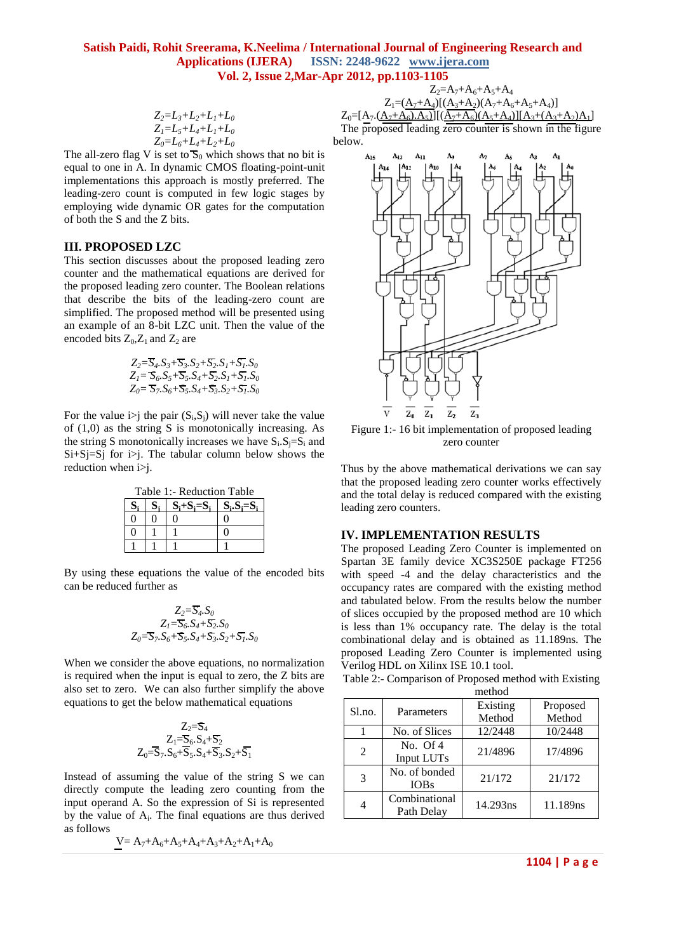## **Satish Paidi, Rohit Sreerama, K.Neelima / International Journal of Engineering Research and Applications (IJERA) ISSN: 2248-9622 www.ijera.com Vol. 2, Issue 2,Mar-Apr 2012, pp.1103-1105**

$$
Z_2=L_3+L_2+L_1+L_0Z_1=L_5+L_4+L_1+L_0Z_0=L_6+L_4+L_2+L_0
$$

 $Z_1=(A_7+A_4)[(A_3+A_2)(A_7+A_6+A_5+A_4)]$  $Z_0=[A_7.(\underline{A_7+A_6}.A_5)][(\underline{A_7+A_6}(A_5+A_4)][A_3+(A_3+A_2)A_1]$ The proposed leading zero counter is shown in the figure below.

 $Z_2 = A_7 + A_6 + A_5 + A_4$ 

The all-zero flag V is set to  $\mathbf{S}_0$  which shows that no bit is equal to one in A. In dynamic CMOS floating-point-unit implementations this approach is mostly preferred. The leading-zero count is computed in few logic stages by employing wide dynamic OR gates for the computation of both the S and the Z bits.

#### **III. PROPOSED LZC**

This section discusses about the proposed leading zero counter and the mathematical equations are derived for the proposed leading zero counter. The Boolean relations that describe the bits of the leading-zero count are simplified. The proposed method will be presented using an example of an 8-bit LZC unit. Then the value of the encoded bits  $Z_0$ ,  $Z_1$  and  $Z_2$  are

$$
Z_2 = \overline{S}_4. S_3 + \overline{S}_3. S_2 + \overline{S}_2. S_1 + \overline{S}_1. S_0
$$
  
\n
$$
Z_1 = \overline{S}_6. S_5 + \overline{S}_5. S_4 + \overline{S}_2. S_1 + \overline{S}_1. S_0
$$
  
\n
$$
Z_0 = \overline{S}_7. S_6 + \overline{S}_5. S_4 + \overline{S}_3. S_2 + \overline{S}_1. S_0
$$

For the value i>j the pair  $(S_i, S_j)$  will never take the value of  $(1,0)$  as the string S is monotonically increasing. As the string S monotonically increases we have  $S_i.S_j = S_i$  and  $Si+Si=Si$  for  $i>i$ . The tabular column below shows the reduction when i>j.

| Table 1:- Reduction Table |                |               |            |  |  |
|---------------------------|----------------|---------------|------------|--|--|
| $S_i$                     | S <sub>1</sub> | $S_i+S_i=S_i$ | $S_i.S_i=$ |  |  |
|                           |                |               |            |  |  |
|                           |                |               |            |  |  |
|                           |                |               |            |  |  |

By using these equations the value of the encoded bits can be reduced further as

$$
Z_2 = \overline{S_4} . S_0
$$
  
\n
$$
Z_1 = \overline{S_6} . S_4 + \overline{S_2} . S_0
$$
  
\n
$$
Z_0 = \overline{S_7} . S_6 + \overline{S_5} . S_4 + \overline{S_3} . S_2 + \overline{S_1} . S_0
$$

When we consider the above equations, no normalization is required when the input is equal to zero, the Z bits are also set to zero. We can also further simplify the above equations to get the below mathematical equations

$$
\begin{matrix} Z_2 = S_4 \\ Z_1 = S_6.S_4 + S_2 \\ Z_0 = \overline{S}_7.S_6 + \overline{S}_5.S_4 + \overline{S}_3.S_2 + \overline{S}_1 \end{matrix}
$$

Instead of assuming the value of the string S we can directly compute the leading zero counting from the input operand A. So the expression of Si is represented by the value of  $A_i$ . The final equations are thus derived as follows

$$
\underline{V} = A_7 + A_6 + A_5 + A_4 + A_3 + A_2 + A_1 + A_0
$$



Figure 1:- 16 bit implementation of proposed leading zero counter

Thus by the above mathematical derivations we can say that the proposed leading zero counter works effectively and the total delay is reduced compared with the existing leading zero counters.

#### **IV. IMPLEMENTATION RESULTS**

The proposed Leading Zero Counter is implemented on Spartan 3E family device XC3S250E package FT256 with speed -4 and the delay characteristics and the occupancy rates are compared with the existing method and tabulated below. From the results below the number of slices occupied by the proposed method are 10 which is less than 1% occupancy rate. The delay is the total combinational delay and is obtained as 11.189ns. The proposed Leading Zero Counter is implemented using Verilog HDL on Xilinx ISE 10.1 tool.

Table 2:- Comparison of Proposed method with Existing method

| ,,,,,,,,,,, |                              |                    |                    |  |
|-------------|------------------------------|--------------------|--------------------|--|
| Sl.no.      | Parameters                   | Existing<br>Method | Proposed<br>Method |  |
|             | No. of Slices                | 12/2448            | 10/2448            |  |
| 2           | No. $Of_4$<br>Input LUTs     | 21/4896            | 17/4896            |  |
| 3           | No. of bonded<br><b>IOBs</b> | 21/172             | 21/172             |  |
| 4           | Combinational<br>Path Delay  | 14.293ns           | 11.189ns           |  |